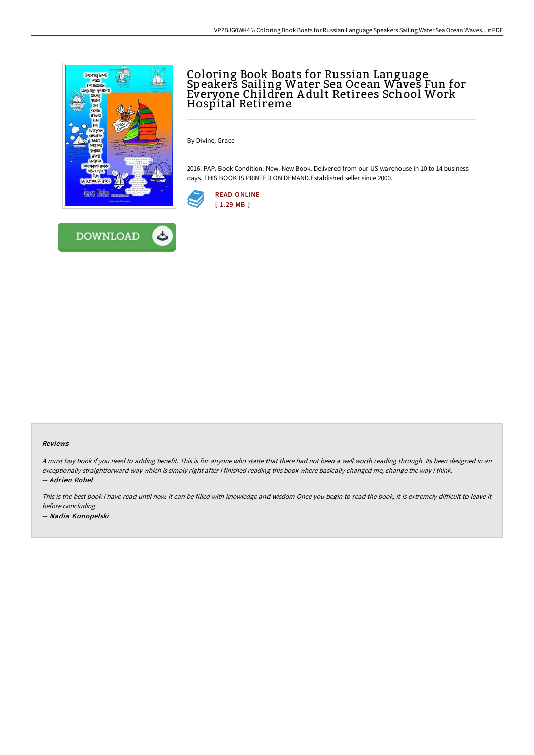



## Coloring Book Boats for Russian Language Speakers Sailing Water Sea Ocean Waves Fun for Everyone Children A dult Retirees School Work Hospital Retireme

By Divine, Grace

2016. PAP. Book Condition: New. New Book. Delivered from our US warehouse in 10 to 14 business days. THIS BOOK IS PRINTED ON DEMAND.Established seller since 2000.



## Reviews

<sup>A</sup> must buy book if you need to adding benefit. This is for anyone who statte that there had not been <sup>a</sup> well worth reading through. Its been designed in an exceptionally straightforward way which is simply right after i finished reading this book where basically changed me, change the way i think. -- Adrien Robel

This is the best book i have read until now. It can be filled with knowledge and wisdom Once you begin to read the book, it is extremely difficult to leave it before concluding. -- Nadia Konopelski